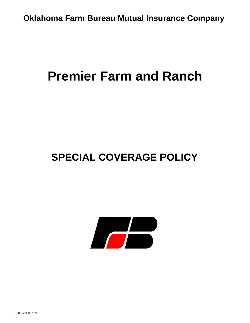**Oklahoma Farm Bureau Mutual Insurance Company** 

# **Premier Farm and Ranch**

# **SPECIAL COVERAGE POLICY**

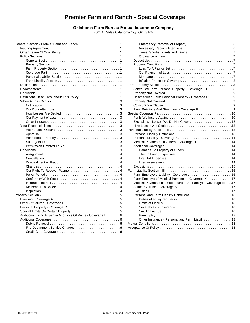# **Premier Farm and Ranch - Special Coverage**

### **Oklahoma Farm Bureau Mutual Insurance Company**

2501 N. Stiles Oklahoma City, OK 73105

|                                                                                                          | Nec           |
|----------------------------------------------------------------------------------------------------------|---------------|
|                                                                                                          | Tree          |
|                                                                                                          | Ordi          |
|                                                                                                          | Deductil      |
|                                                                                                          | Property      |
|                                                                                                          | Loss          |
|                                                                                                          | Our           |
|                                                                                                          | Mort          |
|                                                                                                          | Infla         |
|                                                                                                          | Farm Prope    |
| $Endorsements \dots \dots \dots \dots \dots \dots \dots \dots \dots \dots \dots \dots \dots \dots \dots$ | Schedul       |
|                                                                                                          | Property      |
|                                                                                                          | Unscher       |
|                                                                                                          | Property      |
|                                                                                                          | Coinsura      |
|                                                                                                          | Farm Bu       |
|                                                                                                          | Special Cov   |
|                                                                                                          | Perils W      |
|                                                                                                          | Exclusio      |
|                                                                                                          | How Los       |
|                                                                                                          | Personal Lia  |
|                                                                                                          | Persona       |
|                                                                                                          | Persona       |
|                                                                                                          | Medical       |
|                                                                                                          | Addition      |
|                                                                                                          | Dam           |
| 4                                                                                                        | The           |
|                                                                                                          | First         |
|                                                                                                          | Loss          |
|                                                                                                          | Exclusio      |
|                                                                                                          | Farm Liabilit |
|                                                                                                          | Farm Er       |
|                                                                                                          | Farm Er       |
|                                                                                                          | Medical       |
|                                                                                                          | Animal (      |
|                                                                                                          | Exclusio      |
|                                                                                                          | Persona       |
|                                                                                                          | Duti          |
|                                                                                                          | Limi          |
|                                                                                                          | <b>Seve</b>   |
|                                                                                                          | Suit          |
| Additional Living Expense And Loss Of Rents - Coverage D 6                                               | Banl          |
|                                                                                                          | Othe          |
|                                                                                                          | Mutual Con    |
|                                                                                                          | Acceptance    |
|                                                                                                          |               |

| .1 |                                                             |  |
|----|-------------------------------------------------------------|--|
| 1  |                                                             |  |
| 1  |                                                             |  |
| 1  |                                                             |  |
| 1  |                                                             |  |
| 1  |                                                             |  |
| 1  |                                                             |  |
| 1  |                                                             |  |
| 1  |                                                             |  |
| 1  |                                                             |  |
| 1  |                                                             |  |
| 1  | Scheduled Farm Personal Property - Coverage E1 8            |  |
| 1  |                                                             |  |
| 1  | Unscheduled Farm Personal Property - Coverage E2 9          |  |
| 3  |                                                             |  |
| 3  |                                                             |  |
| 3  |                                                             |  |
| 3  |                                                             |  |
| 3  |                                                             |  |
| 3  |                                                             |  |
| 3  |                                                             |  |
| 3  |                                                             |  |
| 3  |                                                             |  |
| 3  |                                                             |  |
| 3  |                                                             |  |
| 3  |                                                             |  |
| 3  |                                                             |  |
| 4  |                                                             |  |
| 4  |                                                             |  |
| 4  |                                                             |  |
| 4  |                                                             |  |
| 4  |                                                             |  |
| 4  |                                                             |  |
| 4  | Farm Employers' Liability - Coverage J16                    |  |
| 4  | Farm Employees' Medical Payments - Coverage K 17            |  |
|    | Medical Payments (Named Insured And Family) - Coverage M 17 |  |
| 4  |                                                             |  |
| 4  |                                                             |  |
| 5  | Personal and Farm Liability Conditions 18                   |  |
| 5  |                                                             |  |
| 5  |                                                             |  |
| 5  |                                                             |  |
| 5  |                                                             |  |
| 6  |                                                             |  |
| 6  | Other Insurance - Personal and Farm Liability 18            |  |
| 6  |                                                             |  |
| 6  |                                                             |  |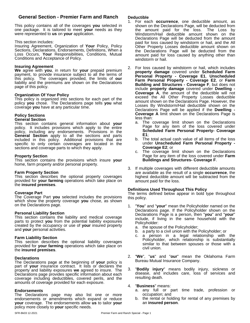# **General Section - Premier Farm and Ranch**

This policy contains all of the coverages **you** selected in one package. It is tailored to meet **your** needs as they were represented to **us** on **your** application.

#### This section includes:

Insuring Agreement, Organization of **Your** Policy, Policy Sections, Declarations, Endorsements, Definitions, When a Loss Occurs, **Your** Responsibilities, Conditions, Mutual Conditions and Acceptance of Policy.

#### **Insuring Agreement**

**We** agree with **you**, in return for **your** prepaid premium payment, to provide insurance subject to all the terms of **Part** this policy. The coverages provided, the limits of **our** liability and the premiums are shown on the Declarations page of this policy.

#### **Organization Of Your Policy**

This policy is organized into sections for each part of the policy **you** chose. The Declarations page tells **you** what coverage **you** have at any particular time.

# **Policy Sections**

#### **General Section**

This section contains general information about **your** policy. It includes provisions which apply to the entire policy, including any endorsements. Provisions in the **General Section** apply to all the sections and parts included in this policy. Additional provisions that are specific to only certain coverages are located in the sections and coverage parts to which they apply.

#### **Property Section**

This section contains the provisions which insure **your** home, farm property and/or personal property.

#### **Farm Property Section**

This section describes the optional property coverages provided for **your farming** operations which take place on the **insured premises**.

#### **Coverage Part**

The Coverage Part **you** selected includes the provisions which show the property coverage **you** chose, as shown on the Declarations page.

#### **Personal Liability Section**

This section contains the liability and medical coverage parts to protect you from the potential liability exposures created by the occupancy or use of **your** insured property and **your** personal activities.

#### **Farm Liability Section**

This section describes the optional liability coverages provided for **your farming** operations which take place on the **insured premises**.

#### **Declarations**

The Declarations page at the beginning of **your** policy is part of **your** insurance contract. It lists or declares the property and liability exposures **we** agreed to insure. The 3. property and liability exposures **we** agreed to insure. The Declarations page provides specific information about each coverage including deductibles, covered perils, and the amounts of coverage provided for each exposure.

#### **Endorsements**

The Declarations page may also list one or more endorsements or amendments which expand or reduce **your** coverage. The endorsements allow **us** to tailor **your** policy more closely to **your** specific needs.

#### **Deductible**

- 1. For each **occurrence**, one deductible amount, as shown on the Declarations Page, will be deducted from the amount paid for the loss. The Loss by Windstorm/Hail deductible amount shown on the Declarations Page will be deducted from the amount paid for loss caused by windstorm or hail, and the All Other Property Losses deductible amount shown on the Declarations Page will be deducted from the amount paid for loss caused by anything other than windstorm or hail.
- 2. For loss caused by windstorm or hail, which includes **property damage** covered under **Scheduled Farm Personal Property - Coverage E1**, **Unscheduled Farm Personal Property - Coverage E2**, or **Farm Building and Structures - Coverage F**, but does not include **property damage** covered under **Dwelling - Coverage A**, the amount of the deductible will not exceed the All Other Property Losses deductible amount shown on the Declarations Page. However, the Losses By Windstorm/Hail deductible shown on the Declarations Page will be applied if the **Dwelling - Coverage A** limit shown on the Declarations Page is less than:
	- a. The coverage limit shown on the Declarations Page for any item of the loss covered under **Scheduled Farm Personal Property- Coverage E1**;
	- b. The total actual cash value of all items of the loss under **Unscheduled Farm Personal Property - Coverage E2**; or
	- c. The coverage limit shown on the Declarations Page for any item of the loss covered under**Farm Buildings and Structures- Coverage F**.
- 3. If multiple coverages with different deductible amounts are available as the result of a single **occurrence**, the highest deductible amount will be subtracted from the amount paid for the loss.

#### **Definitions Used Throughout This Policy**

The terms defined below appear in bold type throughout this policy.

- 1. "**You**" and "**your**" mean the Policyholder named on the Declarations page. If the Policyholder shown on the Declarations Page is a person, then "**you**" and "**your**" include, if living in the same household with the Policyholder:
	- a. the spouse of the Policyholder;
	- b. a party to a civil union with the Policyholder; or
	- a person in a legal relationship with the Policyholder, which relationship is substantially similar to that between spouses or those with a civil union.
- 2. "**We**", "**us**" and "**our**" mean the Oklahoma Farm Bureau Mutual Insurance Company.
- 3. "**Bodily injury**" means bodily injury, sickness or disease, and includes care, loss of services and resulting death.

#### 4. "**Business**" means:

- a. any full or part time trade, profession or occupation; and
- b. the rental or holding for rental of any premises by an **insured person**.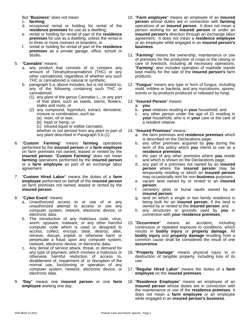But "**Business**" does not mean:

- c. **farming**;
- d. occasional rental or holding for rental of the **residence premises** for use as a dwelling;
- e. rental or holding for rental of part of the **residence premises** for use as a dwelling, unless the rental is to three or more roomers or boarders; or
- f. rental or holding for rental of part of the **residence premises** as a private garage, office, school or studio.

### 5. "**Cannabis**" means:

- a. any product that consists of or contains any amount of Tetrahydrocannabinol (THC) or any other cannabinoid, regardless of whether any such THC or cannabinoid is natural or synthetic.
- b. paragraph 5.a. above includes, but is not limited to, any of the following containing such THC or cannabinoid:
	- (1) any plant of the genus Cannabis L., or any part of that plant, such as seeds, stems, flowers, stalks and roots; or
	- (2) any compound, byproduct, extract, derivative, mixture or combination, such as:
		- (a) resin, oil or wax;
		- (b) hash or hemp; or
		- (c) infused liquid or edible cannabis;

whether or not derived from any plant or part of any plant described in Paragraph 5.b.(1).

- 6. "**Custom Farming**" means **farming** operations performed by the **insured person** or a **farm employee** on farm premises not owned, leased or rented by the **insured person. "Custom Farming"** does not mean c. the p **farming** operations performed by the **insured person** or a **farm employee** as part of an exchange labor agreement.
- 7. "**Custom Hired Labor**" means the duties of a **farm employee** performed on behalf of the **insured person** on farm premises not owned, leased or rented by the **insured person**.
- 8. "**Cyber Event**" means:
	- a. Unauthorized access to or use of or any unauthorized attempt to access or use any computer system, network, electronic device, or electronic data.
	- b. The introduction of any malicious code, virus, worm, spyware, malware, or any other harmful computer code which is used or designed to access, collect, encrypt, steal, destroy, alter, retrieve, disrupt, exploit or otherwise harm or perpetuate a fraud upon any computer system, network, electronic device, or electronic data.
	- c. Any denial of service attack, threat, or demand for any type of payment, which involves a malicious or otherwise harmful restriction of access to, disablement of, impairment of, or disruption of the normal use, functioning or operation of any computer system, network, electronic device, or electronic data.
- 9. "**Day**" means one **insured person** or one **farm employee** working one day.
- 10. "**Farm employee**" means an employee of an **insured person** whose duties are in connection with **farming** operations of an **insured person**. It does not mean a person working for an **insured person** or under an **insured person's** direction through an exchange labor agreement. It does not mean a **residence employee** or an employee while engaged in an **insured person's business**.
- 11. "**Farming**" means the ownership, maintenance or use of premises for the production of crops or the raising or care of livestock, including all necessary operations. "**Farming**" also includes operation of roadside stands kept mainly for the sale of the **insured person's** farm products.
- 12. "**Fungus**" means any type or form of fungus, including mold, mildew or bacteria, and any mycotoxins, spores, scents or by-products produced or released by fungi.

# 13. "**Insured Person**" means:

- a. **you**;
- **your** relatives residing in **your** household; and
- c. any other person under the age of 21 residing in **your** household, who is in **your** care or the care of a resident relative.

#### 14. "**Insured Premises**" means:

- a. the farm premisesand **residence premises** which is described on the Declarations page;
- b. any other premises acquired by **you** during the term of this policy which **you** intend to use as a **residence premises**;
- c. the part of any other premises where **you** reside and which is shown on the Declarations page;
- d. any part of a premises not owned by an **insured person** where the **insured person** may be temporarily residing or which an **insured person** may occasionally rent for non-**business** purposes;
- e. vacant land owned by or rented to an **insured person**;
- f. cemetery plots or burial vaults owned by an **insured person**;
- g. land on which a single or two family residence is being built for an **insured person**, if the land is owned by or rented to the **insured person**; and
- h. any structures or grounds used by **you** in connection with **your residence premises**.
- 15. "**Occurrence**" means an accident, including continuous or repeated exposure to conditions, which results in **bodily injury** or **property damage**. All **bodily injury** and **property damage** resulting from a common cause shall be considered the result of one **occurrence**.
- 16. "**Property Damage**" means physical injury to or destruction of tangible property, including loss of its use.
- 17. "**Regular Hired Labor**" means the duties of a **farm employee** on the i**nsured premises**.
- 18. "**Residence Employee**" means an employee of an **insured person** whose duties are in connection with the maintenance or use of the **residence premises**. It does not mean a **farm employee** or an employee while engaged in an **insured person's business**.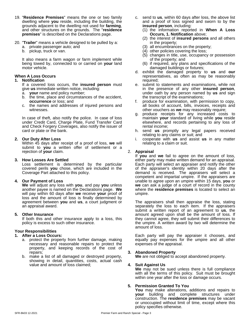- 19. "**Residence Premises**" means the one or two family dwelling where **you** reside, including the building, the grounds adjacent to the dwelling not used for **farming**, and other structures on the grounds. The "**residence premises**" is described on the Declarations page.
- 20. "**Trailer**" means a vehicle designed to be pulled by a:
	- a. private passenger auto; and
	- b. pickup, truck or van.

It also means a farm wagon or farm implement while being towed by, connected to or carried on **your** land motor vehicle.

#### **When A Loss Occurs**

#### **1. Notification**

If a covered loss occurs, the **insured person** must give **us** immediate written notice, including:

- a. **your** name and policy number;
- b. the time, place and circumstances of the accident, **occurrence** or loss; and
- c. the names and addresses of injured persons and witnesses.

In case of theft, also notify the police. In case of loss under Credit Card, Charge Plate, Fund Transfer Card and Check Forgery Coverages, also notify the issuer of card or plate or the bank.

#### **2. Our Duty After Loss**

Within 45 days after receipt of a proof of loss, **we** will submit to **you** a written offer of settlement or a rejection of **your** claim.

#### **3. How Losses Are Settled**

Loss settlement is determined by the particular covered perils **you** chose, which are included in the Coverage Part attached to this policy.

#### **4. Our Payment of Loss**

**We** will adjust any loss with **you**, and pay **you** unless another payee is named on the Declarations page.**We** will pay within 60 days after **we** receive **your** proof of loss and the amount of loss is finally determined by agreement between **you** and **us**, a court judgment or an appraisal award.

#### **5. Other Insurance**

If both this and other insurance apply to a loss, this policy is excess to such other insurance.

#### **Your Responsibilities**

#### **1. After a Loss Occurs:**

- a. protect the property from further damage, making necessary and reasonable repairs to protect the property, and keeping records of the cost of repairs;
- b. make a list of all damaged or destroyed property, showing in detail, quantities, costs, actual cash value and amount of loss claimed;
- c. send to **us**, within 60 days after loss, the above list and a proof of loss signed and sworn to by the **insured person**, including:
	- (1) the information reported in **When A Loss Occurs, 1. Notification** above;
	- (2) the interest of **insured persons** and all others in the property;
	- (3) all encumbrances on the property;
	- (4) other policies covering the loss;
	- (5) changes in title, use, occupancy or possession of the property; and
	- (6) if required, any plans and specifications of the damaged buildings or fixtures;
- d. exhibit the damaged property to **us** and **our** representatives, as often as may be reasonably required;
- e. submit to statements and examinations, while not in the presence of any other **insured person**, under oath by any person named by **us** and sign the transcript of the examinations;
- f. produce for examination, with permission to copy, all books of account, bills, invoices, receipts and other vouchers as **we** may reasonably require;
- g. produce receipts for any increased costs to maintain **your** standard of living while **you** reside elsewhere, and records pertaining to any loss of rental income;
- h. send **us** promptly any legal papers received relating to any claims or suit; and
- i. cooperate with **us** and assist **us** in any matter relating to a claim or suit.

#### 2. **Appraisal**

If **you** and **we** fail to agree on the amount of loss, either party may make written demand for an appraisal. Each party will select an appraiser and notify the other of the appraiser's identity within 20 days after the demand is received. The appraisers will select a competent and impartial umpire. If the appraisers are unable to agree upon an umpire within 15 days, **you** or **we** can ask a judge of a court of record in the county where the **residence premises** is located to select an umpire.

The appraisers shall then appraise the loss, stating separately the loss to each item. If the appraisers submit a written report of an agreement to **us**, the amount agreed upon shall be the amount of loss. If they cannot agree, they will submit their differences to the umpire. A written award by two will determine the amount of loss.

Each party will pay the appraiser it chooses, and equally pay expenses for the umpire and all other expenses of the appraisal.

#### **3. Abandoned Property**

**We** are not obliged to accept abandoned property.

#### **4. Suit Against Us**

**We** may not be sued unless there is full compliance with all the terms of this policy. Suit must be brought within one year after the loss or damage occurs.

#### **5. Permission Granted To You**

**You** may make alterations, additions and repairs to **your** building and complete structures under construction. The **residence premises** may be vacant or unoccupied without limit of time, except where this policy specifies otherwise.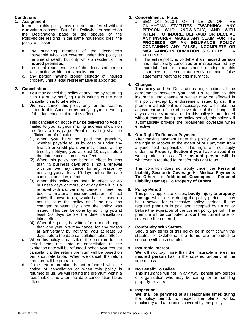# **Conditions**

#### **1. Assignment**

Interest in this policy may not be transferred without **our** written consent. But, if the Policyholder named on the Declarations page or the spouse of the Policyholder residing in the same household dies, the policy will cover:

- a. any surviving member of the deceased's household who was covered under this policy at the time of death, but only while a resident of the **insured premises**;
- b. the legal representative of the deceased person while acting within that capacity; and
- c. any person having proper custody of insured property until a legal representative is appointed.

# **2. Cancellation**

- a. **You** may cancel this policy at any time by returning it to **us** or by notifying **us** in writing of the date cancellation is to take effect.
- b. **We** may cancel this policy only for the reasons stated in this Condition by notifying **you** in writing of the date cancellation takes effect.

This cancellation notice may be delivered to **you** or mailed to **you** at **your** mailing address shown on the Declarations page. Proof of mailing shall be sufficient proof of notice.

- (1) When **you** have not paid the premium, whether payable to **us** by cash or under any finance or credit plan, **we** may cancel at any time by notifying **you** at least 10 days before the date cancellation takes effect.
- (2) When this policy has been in effect for less than 45 business days and is not a renewal with **us**, we may cancel for any reason by notifying **you** at least 10 days before the date cancellation takes effect.
- (3) When this policy has been in effect for 45 business days or more, or at any time if it is a renewal with **us**, **we** may cancel if there has been a material misrepresentation of fact which, if known to **us**, would have caused **us** not to issue the policy or if the risk has changed substantially since the policy was issued. This can be done by notifying **you** at least 30 days before the date cancellation takes effect.
- (4) When this policy is written for a period longer than one year, **we** may cancel for any reason at anniversary by notifying **you** at least 30 days before the date cancellation takes effect.
- c. When this policy is canceled, the premium for the period from the date of cancellation to the expiration date will be refunded. When **you** request cancellation, the return premium will be based on **our** short rate table. When **we** cancel, the return premium will be pro rata.
- d. If the return premium is not refunded with the notice of cancellation or when this policy is 9. notice of cancellation or when this policy is returned to **us**, **we** will refund the premium within a reasonable time after the date cancellation takes effect.

# **3. Concealment or Fraud**

- a. SECTION 3613.1 OF TITLE 36 OF THE<br>OKLAHOMA STATUTES: "WARNING: ANY OKLAHOMA STATUTES: **"WARNING: ANY PERSON WHO KNOWINGLY, AND WITH INTENT TO INJURE, DEFRAUD OR DECEIVE ANY INSURER, MAKES ANY CLAIM FOR THE PROCEEDS OF AN INSURANCE POLICY CONTAINING ANY FALSE, INCOMPLETE OR MISLEADING INFORMATION IS GUILTY OF A FELONY."**
- b. This entire policy is voidable if an **insured person** has intentionally concealed or misrepresented any material fact or circumstance relating to this insurance, or acted fraudulently or made false statements relating to this insurance.

### **4. Changes**

This policy and the Declarations page include all the agreements between **you** and **us** relating to this insurance. No change or waiver may be effected in this policy except by endorsement issued by **us**. If a premium adjustment is necessary, **we** will make the adjustment as of the effective date of the change. If any coverage **you** have under this policy is broadened without charge during the policy period, this policy will automatically provide the broadened coverage when effective.

# **5. Our Right To Recover Payment**

After making payment under this policy, **we** will have the right to recover to the extent of **our** payment from anyone held responsible. This right will not apply under the **Property Section** if **you** have waived it in writing prior to loss. The **insured person** will do whatever is required to transfer this right to **us**.

This condition does not apply under the **Personal Liability Section** to **Coverage H - Medical Payments To Others** or **Additional Coverages - Personal Liability Damage To Property of Others**.

# **6. Policy Period**

This policy applies to losses, **bodily injury** or **property damage** which occur during the policy period. It may be renewed for successive policy periods if the required premium is paid and accepted by us on or before the expiration of the current policy period. The premium will be computed at **our** then current rate for coverage then offered.

#### **7. Conformity With Statute**

Should any terms of this policy be in conflict with the statutes of Oklahoma, the terms are amended to conform with such statutes.

#### **8. Insurable Interest**

**We** will not pay more than the insurable interest an **insured person** has in the covered property at the time of loss.

#### **9. No Benefit To Bailee**

This insurance will not, in any way, benefit any person or organization who may be caring for or handling property for a fee.

#### **10. Inspection**

**We** shall be permitted at all reasonable times during the policy period, to inspect the plants, works, machinery and appliances covered by this policy.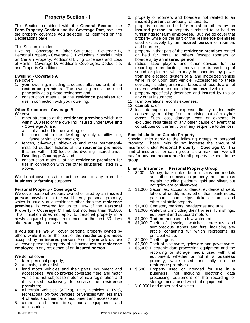This Section, combined with the **General Section**, the **Farm Property Section** and the **Coverage Part**, provides the property coverage **you** selected, as identified on the Declarations page.

This Section includes:

Dwelling - Coverage A, Other Structures - Coverage B, Personal Property - Coverage C, Exclusions, Special Limits on Certain Property, Additional Living Expenses and Loss of Rents - Coverage D, Additional Coverages, Deductible, and Property Conditions.

### **Dwelling - Coverage A**

**We** cover:

- 1. **your** dwelling, including structures attached to it, at the **residence premises**. The dwelling must be used principally as a private residence; and
- 2. construction material at the **residence premises** for use in connection with **your** dwelling.

#### **Other Structures - Coverage B**

**We** cover:

- 1. other structures at the **residence premises** which are within 100 feet of the dwelling insured under **Dwelling - Coverage A**, and
	- a. not attached to the dwelling, or
	- b. connected to the dwelling by only a utility line, fence or similar connection;
- 2. fences, driveways, sidewalks and other permanently installed outdoor fixtures at the **residence premises** that are within 100 feet of the dwelling insured under **Dwelling - Coverage A**; and
- 3. construction material at the **residence premises** for use in connection with the other structures listed in 1 above.

**We** do not cover loss to structures used to any extent for **business** or **farming** purposes.

### **Personal Property - Coverage C**

**We** cover personal property owned or used by an **insured person** anywhere in the world. Any personal property, which is usually at a residence other than the **residence premises**, is covered for up to 10% of the **Personal Property - Coverage C** limit, but not less than \$1,000. This limitation does not apply to personal property in a newly acquired principal residence for the first 30 days after **you** begin to move there.

If **you** ask **us**, **we** will cover personal property owned by others while it is on the part of the **residence premises** occupied by an **insured person**. Also, if **you** ask **us**, **we** will cover personal property of a houseguest or **residence employee** in any residence of an **insured person**.

#### **We** do not cover:

- 1. farm personal property;
- 2. animals, birds or fish;
- 3. land motor vehicles and their parts, equipment and accessories. **We** do provide coverage if the land motor vehicle is not subject to motor vehicle registration and it is used exclusively to service the **residence premises**;
- 4. all-terrain vehicles (ATV's), utility vehicles (UTV's), recreational off-road vehicles, or vehicles with less than 4 wheels, and their parts, equipment and accessories;
- 5. aircraft and their tires, parts, equipment and accessories;
- **Property Section I** 6. property of roomers and boarders not related to an **insured person**, or property of tenants;
	- property rented or held for rental to others by an **insured person**, or property furnished to or held as furnishings for **farm employees**. But, **we** do cover that property while on the part of the **residence premises** used exclusively by an **insured person** or roomers and boarders;
	- 8. property in that part of the **residence premises** rented or held for rental to others (except roomers or boarders) by an **insured person**;
	- 9. radios, tape players and other devices for the recording, reproduction, receiving or transmitting of sound or pictures which may be operated by power from the electrical system of a land motorized vehicle while in or upon that vehicle. Accessories to these devices, including antennas, tapes and records are not covered while in or upon a land motorized vehicle;
	- 10. property specifically described and insured by this or any other insurance;
	- 11. farm operations records expenses;
	- 12. **cannabis**, or
	- 13. loss, damage, cost or expense directly or indirectly caused by, resulting from, or arising out of a **cyber event**. Such loss, damage, cost or expense is excluded regardless of any other cause or event that contributes concurrently or in any sequence to the loss.

#### **Special Limits on Certain Property**

Special limits apply to the following groups of personal property. These limits do not increase the amount of insurance under **Personal Property - Coverage C**. The limit of insurance for each group is the maximum **we** will pay for any one **occurrence** for all property included in the group.

#### **Limit of Insurance Personal Property Group**

- 1. \$200 Money, bank notes, bullion, coins and medals and other numismatic property, and precious metals including platinum, gold and silver, but not goldware or silverware.
- 2. \$1,000 Securities, accounts, deeds, evidence of debt, letters of credit, notes other than bank notes, passports, manuscripts, tickets, stamps and other philatelic property.
- 3. \$1,000 Cemetery markers, headstones and urns.
- 4. \$1,000 Watercraft, including their **trailers**, furnishings, equipment and outboard motors.
- 5. \$1,000 **Trailers** not used to tow watercraft.
- 6. \$1,000 Theft of jewelry, watches, precious and semiprecious stones and furs, including any article containing fur which represents its principal value.
- 7. \$2,000 Theft of guns.
- 8. \$2,500 Theft of silverware, goldware and pewterware.
- 9. \$5,000 Electronic data processing equipment and the recording or storage media used with that equipment, whether or not it is **business** property, while used principally on the **residence premises**.
- Property used or intended for use in a **business**, not including electronic data processing equipment or the recording or storage media used with that equipment.
- 11. \$10,000Land motorized vehicles.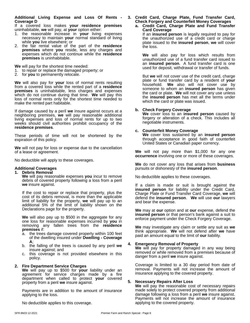#### **Additional Living Expense and Loss Of Rents - Coverage D**

If a covered loss makes **your residence premises** uninhabitable, **we** will pay, at **your** option either:

- 1. the reasonable increase in **your** living expenses necessary to maintain **your** normal standard of living while **you** live elsewhere; or
- 2. the fair rental value of the part of the **residence premises** where **you** reside, less any charges and expenses which do not continue while the **residence premises** is uninhabitable.

**We** will pay for the shortest time needed:

- 1. to repair or replace the damaged property; or
- 2. for **you** to permanently relocate.

**We** will also pay for **your** loss of normal rents resulting from a covered loss while the rented part of a **residence premises** is uninhabitable, less charges and expenses which do not continue during that time. **We** will pay this loss of normal rents only for the shortest time needed to make the rented part habitable.

If damage caused by a peril we insure against occurs at a neighboring premises, **we** will pay reasonable additional living expenses and loss of normal rents for up to two weeks should civil authorities prohibit occupancy of the **residence premises**.

These periods of time will not be shortened by the expiration of this policy.

**We** will not pay for loss or expense due to the cancellation of a lease or agreement.

No deductible will apply to these coverages.

#### **Additional Coverages**

#### **1. Debris Removal**

**We** will pay reasonable expenses **you** incur to remove debris of covered property following a loss from a peril **we** insure against.

If the cost to repair or replace that property, plus the cost of its debris removal, is more than the applicable limit of liability for the property, **we** will pay up to an additional 5% of the limit of liability shown on the Declarations page for the property.

**We** will also pay up to \$500 in the aggregate for any one loss for reasonable expenses incurred by **you** in removing any fallen trees from the **residence premises** if:

- a. the trees damage covered property within 100 feet of the dwelling insured under**Dwelling - Coverage A**;
- b. the falling of the trees is caused by any peril **we** insure against; and
- c. this coverage is not provided elsewhere in this policy.

#### **2. Fire Department Service Charges**

**We** will pay up to \$500 for **your** liability under an agreement for service charges made by a fire department when called to protect **your** covered property from a peril **we** insure against.

Payments are in addition to the amount of insurance applying to the loss.

No deductible applies to this coverage.

#### **3.Credit Card, Charge Plate, Fund Transfer Card, Check Forgery and Counterfeit Money Coverages a. Credit Card, Charge Plate and Fund Transfer**

**Card Coverage** If an **insured person** is legally required to pay for the unauthorized use of a credit card or charge plate issued to the **insured person**, **we** will cover the loss.

**We** will also pay for loss which results from unauthorized use of a fund transfer card issued to an **insured person**. A fund transfer card is one used for deposit, withdrawal or transfer of funds.

But **we** will not cover use of the credit card, charge plate or fund transfer card by a resident of **your** household. **We** also will not cover use by someone to whom an **insured person** has given the card or plate. **We** will not cover any use unless the **insured person** has met all the terms under which the card or plate was issued.

#### **b. Check Forgery Coverage**

**We** coverloss to an **insured person** caused by forgery or alteration of a check. This includes all negotiable instruments.

#### **c. Counterfeit Money Coverage**

**We** coverloss sustained by an **insured person** through acceptance in good faith of counterfeit United States or Canadian paper currency.

**We** will not pay more than \$1,000 for any one **occurrence** involving one or more of these coverages.

**We** do not cover any loss that arises from **business** pursuits or dishonesty of the **insured person**.

No deductible applies to these coverages.

If a claim is made or suit is brought against the **insured person** for liability under the Credit Card, Charge Plate or Fund Transfer Card Coverage, **we** will defend the **insured person**. **We** will use **our** lawyers and bear the expense.

**We** may at **our** option and at **our** expense, defend the **insured person** or that person's bank against a suit to enforce payment under the Check Forgery Coverage.

**We** may investigate any claim or settle any suit as **we** think appropriate. **We** will not defend after **we** have paid an amount equal to the limit of **our** liability.

# **4. Emergency Removal of Property**

**We** will pay for property damaged in any way being removed or while removed from a premises because of danger from a peril **we** insure against.

Coverage is limited to a 30 day period from date of removal. Payments will not increase the amount of insurance applying to the covered property.

#### **5. Necessary Repairs After Loss**

**We** will pay the reasonable cost of necessary repairs made solely to protect covered property from additional damage following a loss from a peril **we** insure against. Payments will not increase the amount of insurance applying to the covered property.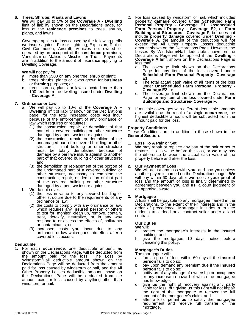#### **6. Trees, Shrubs, Plants and Lawns**

**We** will pay up to 5% of the **Coverage A - Dwelling** limit of liability shown on the Declarations page, for loss at the **residence premises** to trees, shrubs, plants, and lawns.

Coverage applies to loss caused by the following perils **we** insure against: Fire or Lightning, Explosion, Riot or Civil Commotion, Aircraft, Vehicles not owned or operated by an occupant of the **residence premises**, Vandalism or Malicious Mischief or Theft. Payments are in addition to the amount of insurance applying to Dwelling Coverage.

**We** will not pay for:

- a. more than \$500 on any one tree, shrub or plant;
- b. trees, shrubs, plants or lawns grown for **business** or **farming** purposes; or
- c. trees, shrubs, plants or lawns located more than 100 feet from the dwelling insured under**Dwelling - Coverage A**.

#### **7. Ordinance or Law**

- a. **We** will pay up to 10% of the **Coverage A – Dwelling** limit of liability shown on the Declarations Figure and page, for the total increased costs **you** incur because of the enforcement of any ordinance or law which requires or regulates:
	- (1) the construction, repair, or demolition of that part of a covered building or other structure damaged by a peril **we** insure against;
	- (2) the construction, repair, or demolition of the undamaged part of a covered building or other 1. structure, if that building or other structure must be totally demolished because of damage by a peril we insure against to another part of that covered building or other structure; and
	- (3) the demolition or replacement of the portion of 2. the undamaged part of a covered building or other structure, necessary to complete the construction, repair, or demolition of that part of the covered building or other structure damaged by a peril **we** insure against.

#### b. **We** do not cover:

- (1) the loss in value to any covered building or other structure due to the requirements of any 3. Mortga ordinance or law;
- (2) the costs to comply with any ordinance or law, which requires any **insured person** or others to test for, monitor, clean up, remove, contain, treat, detoxify, neutralize, or in any way respond to or assess the effects of, pollutants or contaminants; or
- (3) increased costs **you** incur due to any ordinance or law which goes into effect after a covered loss occurs.

#### **Deductible**

1. For each **occurrence**, one deductible amount, as shown on the Declarations Page, will be deducted from The mortgages of the S the amount paid for the loss. The Loss by  $\frac{1}{2}$  furn Windstorm/Hail deductible amount shown on the and ners Declarations Page will be deducted from the amount paid for loss caused by windstorm or hail, and the All Other Property Losses deductible amount shown on the Declarations Page will be deducted from the amount paid for loss caused by anything other than has knowledge; windstorm or hail.

- 2. For loss caused by windstorm or hail, which includes **property damage** covered under **Scheduled Farm Personal Property - Coverage E1**, **Unscheduled Farm Personal Property - Coverage E2**, or **Farm Building and Structures - Coverage F**, but does not include **property damage** covered under **Dwelling - Coverage A**, the amount of the deductible will not exceed the All Other Property Losses deductible amount shown on the Declarations Page. However, the Losses By Windstorm/Hail deductible shown on the Declarations Page will be applied if the **Dwelling - Coverage A** limit shown on the Declarations Page is less than:
	- a. The coverage limit shown on the Declarations Page for any item of the loss covered under **Scheduled Farm Personal Property- Coverage E1**;
	- b. The total actual cash value of all items of the loss under **Unscheduled Farm Personal Property - Coverage E2**; or
	- c. The coverage limit shown on the Declarations Page for any item of the loss covered under**Farm Buildings and Structures- Coverage F**.
- If multiple coverages with different deductible amounts are available as the result of a single **occurrence**, the highest deductible amount will be subtracted from the amount paid for the loss.

#### **Property Conditions**

These Conditions are in addition to those shown in the **General Section**.

#### **1. Loss To A Pair or Set**

**We** may repair or replace any part of the pair or set to restore it to its value before the loss, or **we** may pay the difference between the actual cash value of the property before and after the loss.

#### **2. Our Payment of Loss**

**We** will adjust any loss with **you**, and pay **you** unless another payee is named on the Declarations page.**We** will pay within 60 days after **we** receive **your** proof of loss and the amount of loss is finally determined by agreement between **you** and **us**, a court judgment or an appraisalaward.

**3. Mortgagee**<br>A loss shall be payable to any mortgagee named in the Declarations, to the extent of their interests and in the order of precedence. Mortgagee includes a trustee under a trust deed or a contract seller under a land contract.

#### **Our Duties**

- **We** will: protect the mortgagee's interests in the insured building; and
- b. give the mortgagee 10 days notice before canceling this policy.

#### **Mortgagee's Duties**

- The mortgagee will:
- a. furnish proof of loss within 60 days if the **insured person** fails to do so;
- b. pay upon demand any premium due if the **insured person** fails to do so;
- c. notify **us** of any change of ownership or occupancy or any increase in hazard of which the mortgagee
- d. give us the right of recovery against any party liable for loss; but giving **us** this right will not impair the right of the mortgagee to recover the full amount of the mortgagee's claim; and
- e. after a loss, permit **us** to satisfy the mortgagee requirement and receive full transfer of the mortgage.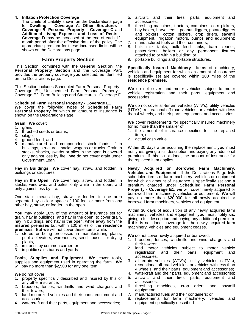#### **4. Inflation Protection Coverage**

The Limits of Liability shown on the Declarations page for **Dwelling – Coverage A**, **Other Structures – Coverage B**, **Personal Property – Coverage C** and **Additional Living Expense and Loss of Rents – Coverage D** may be increased at the end of each 12 month period after the effective date of the policy. The appropriate premium for these increased limits will be shown on the Declarations page.

# **Farm Property Section**

This Section, combined with the **General Section**, the **Personal Property Section** and the Coverage Part, provides the property coverage **you** selected, as identified on the Declarations page.

This Section includes Scheduled Farm Personal Property - Coverage E1, Unscheduled Farm Personal Property - Coverage E2, Farm Buildings and Structures - Coverage F.

**Scheduled Farm Personal Property - Coverage E1 We** cover the following types of **Scheduled Farm Personal Property** for which an amount of insurance is shown on the Declarations Page:

**Grain**. **We** cover:

- 1. grain;<br>2. thresh
- 2. threshed seeds or beans;<br>3. silage:
- silage;
- 4. ground feed; and
- 5. manufactured and compounded stock foods, if in buildings, structures, sacks, wagons or trucks. Grain in stacks, shocks, swaths or piles in the open is covered only against loss by fire. **We** do not cover grain under Government Loan.

**Hay in Buildings. We** cover hay, straw, and fodder, in buildings or structures.

Hay in the Open. We cover hay, straw, and fodder, in stacks, windrows, and bales, only while in the open, and only against loss by fire.

One stack means hay, straw, or fodder, in one area separated by a clear space of 100 feet or more from any other hay, straw, or fodder, in the open.

**You** may apply 10% of the amount of insurance set for grain, hay in buildings, and hay in the open, to cover grain, hay in buildings, and hay in the open, while away from the **insured premises** but within 100 miles of the **residence premises**. But **we** will not cover these items while:

- 1. stored or being processed in manufacturing plants, public elevators, warehouses, seed houses, or drying plants;
- 2. in transit by common carrier; or
- 3. in public sales barns and yards.

**Tools, Supplies and Equipment. We** cover tools, supplies and equipment used in operating the farm. **We** will pay no more than \$2,500 for any one item.

**We** do not cover:

- 1. property specifically described and insured by this or any other insurance;
- 2. brooders, fences, windmills and wind chargers and their towers;
- 3. land motorized vehicles and their parts, equipment and 7. accessories;
- watercraft and their parts, equipment and accessories;
- 5. aircraft, and their tires, parts, equipment and accessories;
- 6. threshing machines, tractors, combines, corn pickers, hay balers, harvesters, peanut diggers, potato diggers and pickers, cotton pickers, crop driers, sawmill equipment, irrigation motors, pumps and equipment;
- 7. manufactured fuels and their containers;
- 8. bulk milk tanks, bulk feed tanks, barn cleaner, pasteurizers, boilers or any permanent fixtures attached to or within a building; or
- 9. portable buildings and portable structures.

**Specifically Insured Machinery**. Items of machinery, vehicles and equipment for which an amount of insurance is specifically set are covered within 100 miles of the **residence premises**.

**We** do not cover land motor vehicles subject to motor vehicle registration and their parts, equipment and accessories.

**We** do not cover all-terrain vehicles (ATV's), utility vehicles (UTV's), recreational off-road vehicles, or vehicles with less than 4 wheels, and their parts, equipment and accessories.

**We** cover replacements for specifically insured machinery for no more than the smaller of:

- 1. the amount of insurance specified for the replaced item; or
- 2. actual cash value.

Within 30 days after acquiring the replacement, **you** must notify **us**, giving a full description and paying any additional premium. If this is not done, the amount of insurance for the replaced item applies.

**Newly Acquired or Borrowed Farm Machinery, Vehicles and Equipment.** If the Declarations Page lists scheduled items of farm machinery, vehicles or equipment for which an amount of insurance is specifically set and a premium charged under **Scheduled Farm Personal Property - Coverage E1**, **we** will cover newly acquired or borrowed farm machinery, vehicles or equipment. **We** will pay no more than \$20,000 for all newly acquired or borrowed farm machinery, vehicles and equipment.

Within 30 days of acquisition of any newly acquired farm machinery, vehicles and equipment, **you** must notify **us**, giving a full description and paying any additional premium. If this is not done, coverage for the newly acquired farm machinery, vehicles and equipment ceases.

**We** do not cover newly acquired or borrowed:

- 1. brooders, fences, windmills and wind chargers and their towers;
- 2. land motor vehicles subject to motor vehicle registration and their parts, equipment and accessories;
- 3. all-terrain vehicles (ATV's), utility vehicles (UTV's), recreational off-road vehicles, or vehicles with less than 4 wheels, and their parts, equipment and accessories;
- 4. watercraft and their parts, equipment and accessories;
- 5. aircraft, and their tires, parts, equipment and accessories;
- machines, crop driers and sawmill equipment;
- 7. manufactured fuels and their containers; or
- 8. replacements for farm machinery, vehicles and equipment specifically described.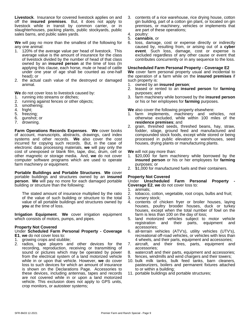**Livestock**. Insurance for covered livestock applies on and off the **insured premises**. But, it does not apply to livestock while in transit by common carrier, or in slaughterhouses, packing plants, public stockyards, public sales barns, and public sales yards.

**We** will pay no more than the smallest of the following for any one animal:

- 1. 120% of the average value per head of livestock. This average value is the amount of insurance for the class of livestock divided by the number of head of that class owned by an **insured person** at the time of loss (In applying this clause, each horse, mule or head of cattle under one year of age shall be counted as one-half head); or
- 2. the actual cash value of the destroyed or damaged animal.

**We** do not cover loss to livestock caused by:

- 1. running into streams or ditches;
- 2. running against fences or other objects;
- 3. smothering;<br>4. fright:
- fright;
- 5. freezing;
- 6. gunshot; or
- 7. drowning.

**Farm Operations Records Expenses. We cover books <b>Farm** of account, manuscripts, abstracts, drawings, card index systems and other records. **We** also cover the cost incurred for copying such records. But, in the case of electronic data processing materials, **we** will pay only the cost of unexposed or blank film, tape, disc, drum, cell or other magnetic or storage media. And, **we** do not cover computer software programs which are used to operate farm machinery or equipment.

**Portable Buildings and Portable Structures**. **We** cover portable buildings and structures owned by an **insured person**. **We** will pay no more for each damaged portable building or structure than the following:

The stated amount of insurance multiplied by the ratio of the value of such building or structure to the total value of all portable buildings and structures owned by **you** at the time of loss.

**Irrigation Equipment**. **We** cover irrigation equipment which consists of motors, pumps, and pipes.

#### **Property Not Covered**

#### Under **Scheduled Farm Personal Property - Coverage E1**, **we** do not cover loss to:

- 1. growing crops and stubble;
- 2. radios, tape players and other devices for the recording, reproduction, receiving or transmitting of sound or pictures which may be operated by power from the electrical system of a land motorized vehicle while in or upon that vehicle. However, **we** do cover loss to such devices for which an amount of insurance is shown on the Declarations Page. Accessories to these devices, including antennas, tapes and records are not covered while in or upon a land motorized vehicle. This exclusion does not apply to GPS units, crop monitors, or autosteer systems;
- 3. contents of a rice warehouse, rice drying house, cotton gin building, part of a cotton gin plant, or located on gin premises, or machinery, vehicles or implements that are part of these operations;
- 4. poultry:
- 5. **cannabis**, or
- 6. loss, damage, cost or expense directly or indirectly caused by, resulting from, or arising out of a **cyber event**. Such loss, damage, cost or expense is excluded regardless of any other cause or event that contributes concurrently or in any sequence to the loss.

#### **Unscheduled Farm Personal Property - Coverage E2**

We cover farm personal property usual and incidental to the operation of a farm while on the **insured premises** if such property is:

- 1. owned by an **insured person**;
- 2. leased or rented to an **insured person** for **farming** purposes; and
- 3. farm machinery while borrowed by the **insured person** or his or her employees for **farming** purposes.

**We** also cover the following property elsewhere:

- 1. farm implements, machinery and vehicles, not otherwise excluded, while within 100 miles of the **residence premises**; and
- 2. grain, threshed seeds, threshed beans, hay, straw, fodder, silage, ground feed and manufactured and compounded stock foods, except while stored or being processed in public elevators or warehouses, seed houses, drying plants or manufacturing plants.

**We** will not pay more than:

- 1. \$20,000 for farm machinery while borrowed by the **insured person** or his or her employees for **farming** purposes; or
- 2. \$1,000 for manufactured fuels and their containers.

## **Property Not Covered**

Under **Unscheduled Farm Personal Property - Coverage E2**, **we** do not cover loss to:

- 1. animals;
- 2. tobacco, cotton, vegetable, root crops, bulbs and fruit;
- 3. nursery stock;
- 4. contents of chicken fryer or broiler houses, laying houses, poultry brooder houses, duck or turkey houses, except when the total number of fowl on the farm is less than 100 on the day of loss;
- 5. land motorized vehicles subject to motor vehicle and their parts, equipment and accessories;
- 6. all-terrain vehicles (ATV's), utility vehicles (UTV's), recreational off-road vehicles, or vehicles with less than 4 wheels, and their parts, equipment and accessories;
- 7. aircraft, and their tires, parts, equipment and accessories;
- 8. watercraft and their parts, equipment and accessories;
- 9. fences, windmills and wind chargers and their towers;
- 10. bulk milk tanks, bulk feed tanks, barn cleaners, pasteurizers, boilers and permanent fixtures attached to or within a building;
- 11. portable buildings and portable structures;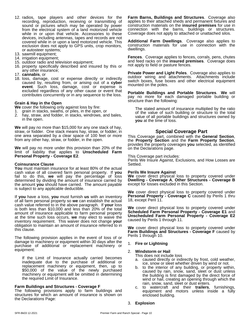- 12. radios, tape players and other devices for the recording, reproduction, receiving or transmitting of sound or pictures which may be operated by power from the electrical system of a land motorized vehicle while in or upon that vehicle. Accessories to these devices, including antennas, tapes and records are not covered while in or upon a land motorized vehicle. This exclusion does not apply to GPS units, crop monitors, or autosteer systems;
- 13. sawmill equipment;
- 14. irrigation equipment;
- 15. outdoor radio and television equipment;
- 16. property specifically described and insured by this or any other insurance;
- 17. **cannabis**, or
- 18. loss, damage, cost or expense directly or indirectly caused by, resulting from, or arising out of a **cyber event**. Such loss, damage, cost or expense is excluded regardless of any other cause or event that contributes concurrently or in any sequence to the loss.

#### **Grain & Hayin the Open**

**We** cover the following only against loss by fire:

- 1. grain in stacks, swaths, or piles, in the open, or
- 2. hay, straw, and fodder, in stacks, windrows, and bales, in the open.

**We** will pay no more than \$15,000 for any one stack of hay, straw, or fodder. One stack means hay, straw, or fodder, in one area separated by a clear space of 100 feet or more from any other hay, straw, or fodder, in the open.

**We** will pay no more under this provision than 20% of the limit of liability that applies to **Unscheduled Farm Personal Property - Coverage E2**.

#### **Coinsurance Clause**

**You** must maintain insurance for at least 80% of the actual cash value of all covered farm personal property. If **you** fail to do this, **we** will pay the percentage of loss determined by dividing the amount of insurance carried by Dwelling the amount **you** should have carried. The amount payable is subject to any applicable deductible.

If **you** have a loss, **you** must furnish **us** with an inventory of all farm personal property so **we** can establish the actual cash value referred to in the above paragraph. If **your** loss is both less than \$10,000 and less than 20% of the total amount of insurance applicable to farm personal property at the time such loss occurs, **we** may elect to waive the inventory requirement. This waiver does not change **your** obligation to maintain an amount of insurance referred to in this clause.

The following provision applies in the event of loss of or damage to machinery or equipment within 30 days after the purchase of additional or replacement machinery or equipment:

If the Limit of Insurance actually carried becomes inadequate due to the purchase of additional or replacement machinery or equipment, then, up to \$50,000 of the value of the newly purchased machinery or equipment will be omitted in determining the required Limit of Insurance.

#### **Farm Buildings and Structures - Coverage F**

The following provisions apply to farm buildings and structures for which an amount of insurance is shown on the Declarations Page:

**Farm Barns, Buildings and Structures**. Coverage also applies to their attached sheds and permanent fixtures and construction materials on the **insured premises** for use in connection with the barns, buildings or structures. Coverage does not apply to attached or unattached silos.

**Additional Farm Dwellings**. Coverage also applies to construction materials for use in connection with the dwellings.

**Fences.** Coverage applies to fences, corrals, pens, chutes and feed racks on the **insured premises**. Coverage does not apply to field or pasture fences.

**Private Power and Light Poles**. Coverage also applies to outdoor wiring and attachments. Attachments include switch boxes, fuse boxes and other electrical equipment mounted on the poles.

**Portable Buildings and Portable Structures**. **We** will pay no more for each damaged portable building or structure than the following:

The stated amount of insurance multiplied by the ratio of the value of such building or structure to the total value of all portable buildings and structures owned by **you** at the time of loss.

# **Special Coverage Part**

This Coverage part, combined with the **General Section**, the **Property Section** and the **Farm Property Section**, provides the property coverages **you** selected,as identified on the Declarations page.

This Coverage part includes:

Perils We Insure Against, Exclusions, and How Losses are Settled.

#### **Perils We Insure Against**

**We** cover direct physical loss to property covered under **Dwelling - Coverage A**, **Other Structures - Coverage B** except for losses excluded in this Section.

We cover direct physical loss to property covered under **Personal Property - Coverage C** caused by Perils 1 thru 18, except Peril 11.

We cover direct physical loss to property covered under **Scheduled Farm Personal Property - Coverage E1** and **Unscheduled Farm Personal Property - Coverage E2** caused by Perils 1 through 11.

**We** cover direct physical loss to property covered under **Farm Buildings and Structures - Coverage F** caused by Perils 1 through 10.

#### 1. **Fire or Lightning**

#### 2. **Windstorm or Hail**

This does not include loss

- a. caused directly or indirectly by frost, cold weather, ice, snow or sleet whether driven by wind or not.
- b. to the interior of any building, or property within, caused by rain, snow, sand, sleet or dust unless the building is first damaged by the direct force of wind or hail, creating an opening through which the rain, snow, sand, sleet or dust enters.
- c. to watercraft and their **trailers**, furnishings, equipment and motors unless inside a fully enclosed building.
- 3. **Explosion**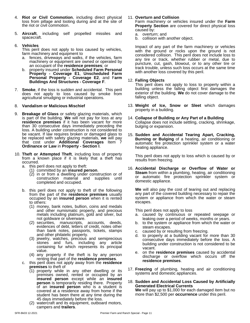- 4. **Riot or Civil Commotion**, including direct physical loss from pillage and looting during and at the site of the riot or civil commotion.
- 5. **Aircraft**, including self propelled missiles and spacecraft.

#### 6. **Vehicles**

This peril does not apply to loss caused by vehicles, farm machinery and equipment to

- a. fences, driveways and walks, if the vehicles, farm machinery or equipment are owned or operated by an occupant of the **residence premises**; or
- b. property insured under **Scheduled Farm Personal Property - Coverage E1**, **Unscheduled Farm Personal Property - Coverage E2**, and F**arm Buildings And Structures - Coverage F**.
- 7. **Smoke**, if the loss is sudden and accidental. This peril does not apply to loss caused by smoke from agricultural smudging or industrial operations.

#### 8. **Vandalism or Malicious Mischief**

- 9. **Breakage of Glass** or safety glazing materials, which is part of the building. We will not pay for loss at any 14. Collap **residence premises** if it has been vacant for more than 30 consecutive days immediately preceding the loss. A building under construction is not considered to be vacant. If law requires broken or damaged glass to be replaced with safety glazing materials, **we** will pay that cost under **Additional Coverages** Item 7 **Ordinance or Law** in **Property - Section I**.
- 10. Theft or Attempted Theft, including loss of property from a known place if it is likely that a theft has occurred.
	- a. this peril does not apply to theft:
		- (1) committed by an **insured person**.
		- (2) in or from a dwelling under construction or of construction material and supplies until completed and occupied.
	- b. this peril does not apply to theft of the following from the part of the **residence premises** usually occupied by an **insured person** when it is rented to others:
		- (1) money, bank notes, bullion, coins and medals and other numismatic property, and precious metals including platinum, gold and silver, but not goldware or silverware.
		- (2) securities, manuscripts, accounts, deeds, evidences of debt, letters of credit, notes other than bank notes, passports, tickets, stamps and other philatelic property.
		- (3) jewelry, watches, precious and semiprecious stones and furs, including any article containing fur which represents its principal value.
		- (4) any property if the theft is by any person renting that part of the **residence premises**.
	- c. this peril does not apply away from the **residence premises** to theft of
		- (1) property while in any other dwelling or its premises owned, rented or occupied by an **insured person** except while an **insured person** is temporarily residing there. Property of an **insured person** who is a student is covered at a residence away from home if the student has been there at any time during the 45 days immediately before the loss.
		- (2) watercraft and its equipment, outboard motors, campers and **trailers**.

#### 11. **Overturn and Collision**

Farm machinery or vehicles insured under the Farm **Property Section** are covered for direct physical loss caused by:

- a. overturn; and
- b. collision with another object.

Impact of any part of the farm machinery or vehicles with the ground or rocks upon the ground is not considered collision. This peril does not include loss to any tire or track, whether rubber or metal, due to puncture, cut, gash, blowout, or to any other tire or track trouble, unless such loss occurs at the same time with another loss covered by this peril.

#### 12. **Falling Objects**

This peril does not apply to loss to property within a building unless the falling object first damages the exterior of the building. **We** do not cover damage to the falling object.

- 13. **Weight of Ice, Snow or Sleet** which damages property in a building.
- 14. **Collapse of Building or Any Part of a Building** Collapse does not include settling, cracking, shrinkage, bulging or expansion.
- 15. **Sudden and Accidental Tearing Apart, Cracking, Burning or Bulging** of a heating, air conditioning or automatic fire protection sprinkler system or a water heating appliance.

This peril does not apply to loss which is caused by or results from freezing.

16. **Accidental Discharge or Overflow of Water or Steam** from within a plumbing, heating, air conditioning or automatic fire protection sprinkler system or domestic appliance.

**We** will also pay the cost of tearing out and replacing any part of the covered building necessary to repair the system or appliance from which the water or steam escapes.

This peril does not apply to loss

- a. caused by continuous or repeated seepage or leaking over a period of weeks, months or years.
- b. to the system or appliance from which the water or steam escapes.
- c. caused by or resulting from freezing.
- d. to property at a building vacant for more than 30 consecutive days immediately before the loss. A building under construction is not considered to be vacant.
- e. on the **residence premises** caused by accidental discharge or overflow which occurs off the **residence premises**.
- 17. **Freezing** of plumbing, heating and air conditioning systems and domestic appliances.
- 18. **Sudden and Accidental Loss Caused by Artificially Generated Electrical Currents We** will pay up to \$1,000 for each damaged item but no more than \$2,500 per **occurrence** under this peril.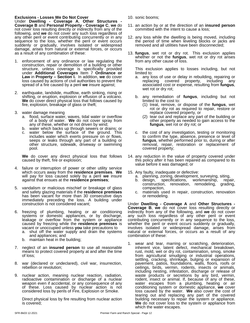# **Exclusions - Losses We Do Not Cover**

Under **Dwelling - Coverage A**, **Other Structures - Coverage B** and **Personal Property - Coverage C**, **we** do not cover loss resulting directly or indirectly from any of the following, and **we** do not cover any such loss regardless of any other peril or event contributing concurrently or in any sequence to the loss, whether the peril or event occurs suddenly or gradually, involves isolated or widespread damage, arises from natural or external forces, or occurs as a result of any combination of these:

- 1. enforcement of any ordinance or law regulating the construction, repair or demolition of a building or other structure, unless coverage is specifically provided This exc under **Additional Coverages** Item 7 **Ordinance or Law** in **Property – Section I.** In addition, **we** do cover loss caused by actions of civil authorities to prevent the spread of a fire caused by a peril **we** insure against;
- 2. earthquake, landslide, mudflow, earth sinking, rising or shifting, or eruption, explosion or effusion of a volcano. **We** do cover direct physical loss that follows caused by fire, explosion, breakage of glass or theft;
- 3. water damage meaning
	- a. flood, surface water, waves, tidal water or overflow of a body of water. **We** do not cover spray from any of these, whether or not driven by wind;
	- b. water which backs up through sewers or drains; or
	- c. water below the surface of the ground. This includes water which exerts pressure on or flows, seeps or leaks through any part of a building or other structure, sidewalk, driveway or swimming pool.

**We** do cover any direct physical loss that follows caused by theft, fire or explosion;

- 4. failure or interruption of power or other utility service which occurs away from the **residence premises**. **We** will pay for loss caused solely by a peril**we** insure against that ensues at the **residence premises**;
- 5. vandalism or malicious mischief or breakage of glass and safety glazing materials if the **residence premises** has been vacant for more than 30 consecutive days or immediately preceding the loss. A building under construction is not considered vacant;
- 6. freezing of plumbing, heating or air conditioning systems or domestic appliances, or by discharge, leakage or overflow from the system or appliance caused by freezing while the **residence premises** is vacant or unoccupied unless **you** take precautions to
	- a. shut off the water supply and drain the systems and appliances; and
	- b. maintain heat in the building;
- 7. neglect of an **insured person** to use all reasonable means to protect covered property at and after the time of loss;
- 8. war (declared or undeclared), civil war, insurrection, rebellion or revolution;
- 9. nuclear action, meaning nuclear reaction, radiation, radioactive contamination or discharge of a nuclear weapon even if accidental, or any consequence of any of these. Loss caused by nuclear action is not considered loss by perils of Fire, Explosion or Smoke.

Direct physical loss by fire resulting from nuclear action is covered;

- 10. sonic booms;
- 11. an action by or at the direction of an **insured person** committed with the intent to cause a loss;
- 12. any loss while the dwelling is being moved, including the period of time when leveling blocks or jacks are removed and all utilities have been disconnected;
- 13. **fungus**, wet rot or dry rot. This exclusion applies whether or not the **fungus**, wet rot or dry rot arises from any other cause of loss.

This exclusion applies to losses including, but not limited to:

- a. any loss of use or delay in rebuilding, repairing or replacing covered property, including any replacing covered property, including any associated cost or expense, resulting from **fungus**, wet rot or dry rot;
- b. any remediation of **fungus**, including but not limited to the cost to:
	- (1) treat, remove, or dispose of the **fungus**, wet rot or dry rot as required to repair, restore or replace covered property, or
	- (2) tear out and replace any part of the building or other property as needed to gain access to the **fungus**, wet rot or dry rot; or
- c. the cost of any investigation, testing or monitoring to confirm the type, absence, presence or level of **fungus**, whether performed prior to, during or after removal, repair, restoration or replacement of covered property;
- 14. any reduction in the value of property covered under this policy after it has been repaired as compared to its value before it was damaged; or
- 15. Any faulty, inadequate or defective:
	- a. planning, zoning, development, surveying, siting,
	- b. design, specifications, workmanship, repair, construction, renovation, remodeling, grading, compaction,
	- c. materials used in repair, construction, renovation or remodeling.

Under **Dwelling - Coverage A** and **Other Structures - Coverage B**, **we** do not cover loss resulting directly or indirectly from any of the following, and **we** do not cover any such loss regardless of any other peril or event contributing concurrently or in any sequence to the loss, whether the peril or event occurs suddenly or gradually, involves isolated or widespread damage, arises from natural or external forces, or occurs as a result of any combination of these:

1. wear and tear, marring or scratching, deterioration, inherent vice, latent defect, mechanical breakdown, rust, mold, wet or dry rot, contamination, smog, smoke from agricultural smudging or industrial operations, settling, cracking, shrinkage, bulging or expansion of pavement, patios, foundations, walls, floors, roofs or ceilings, birds, vermin, rodents, insects or animals, including nesting, infestation, discharge or release of waste products or secretions by any bird, vermin, rodent, insect or animal. If, because of any of these, water escapes from a plumbing, heating or air conditioning system or domestic appliance, **we** cover loss caused by the water. We also cover the cost of tearing out and replacing any part of the covered building necessary to repair the system or appliance. **We** do not cover loss to the system or appliance from which the water escapes.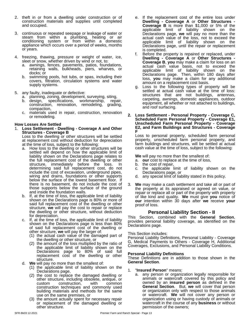- 2. theft in or from a dwelling under construction or of construction materials and supplies until completed **Dwe** and occupied.
- 3. continuous or repeated seepage or leakage of water or steam from within a plumbing, heating or air conditioning system or from within a domestic approach and appliance which occurs over a period of weeks, months or years.
- 4. freezing, thawing, pressure or weight of water, ice, sleet or snow, whether driven by wind or not, to:
	- a. awnings, fences, pavements, patios, foundations, retaining walls, bulkheads, piers, wharves, or docks; or
	- b. swimming pools, hot tubs, or spas, including their covers, filtration, circulation systems and water supply systems.
- 5. any faulty, inadequate or defective:
	- a. planning, zoning, development, surveying, siting,
	- b. design, specifications, workmanship, repair, design, specifications, workmanship, repair, construction, renovation, remodeling, grading, compaction,
	- c. materials used in repair, construction, renovation 2. or remodeling.

#### **How Losses Are Settled**

#### 1. **Loss Settlement - Dwelling - Coverage A and Other Structures - Coverage B**

Loss to the dwelling or other structures will be settled at replacement cost without deduction for depreciation at the time of loss, subject to the following:

- a. How loss to the dwelling or other structures will be settled will depend on how the applicable limit of liability shown on the Declarations page relates to the full replacement cost of the dwelling or other structure, immediately before the loss. In determining said full replacement cost, do not include the cost of excavation, underground pipes, wiring and drains, foundations or other supports below the surface of the lowest basement floor. If there is no basement, do not include the cost of those supports below the surface of the ground and inside the foundation walls.
- b. If, at the time of loss, the applicable limit of liability shown on the Declarations page is 80% or more of said full replacement cost of the dwelling or other structure, we will pay the cost to repair or replace the dwelling or other structure, without deduction for depreciation.
- c. If, at the time of loss, the applicable limit of liability shown on the Declarations page is less than 80% of said full replacement cost of the dwelling or other structure, **we** will pay the largerof:
	- (1) the actual cash value of the damaged part of the dwelling or other structure, or
	- (2) the amount of the loss multiplied by the ratio of the applicable limit of liability shown on the coverages, a Declarations page to 80% of said full **Develo** replacement cost of the dwelling or other  $\Gamma_{\text{the}}^{\text{Perso}}$ structure.
- d. **We** will pay no more than the smallest of:
	- (1) the applicable limit of liability shown on the  $\overline{1}$ . Declarations page,
	- (2) the cost to replace the damaged dwelling or other structure, including obsolete, antique, or custom construction, with common construction techniques and commonly used building materials and methods for the same use on the same premises, or
	- (3) the amount actually spent for necessary repair or replacement of the damaged dwelling or other structure.
- e. If the replacement cost of the entire loss under **Dwelling - Coverage A** or **Other Structures - Coverage B** is more than \$1,000 or 5% of the applicable limit of liability shown on the Declarations page, **we** will pay no more than the actual cash value of the loss, not to exceed the applicable limit of liability shown on the Declarations page, until the repair or replacement is completed.
- Before the property is repaired or replaced, under **Dwelling - Coverage A** or **Other Structures - Coverage B**, **you** may make a claim for loss on an actual cash value basis, not to exceed the applicable limit of liability shown on the Declarations page. Then, within 180 days after loss, **you** may make a claim for any additional amount on a replacement cost basis.
- g. Loss to the following types of property will be settled at actual cash value at the time of loss: structures that are not buildings, antennas, carpeting, awnings, domestic appliances, outdoor equipment, all whether or not attached to buildings, and roof surfacing.

#### **2. Loss Settlement - Personal Property - Coverage C, Scheduled Farm Personal Property - Coverage E1, Unscheduled Farm Personal Property - Coverage E2, and Farm Buildings and Structures - Coverage F**

Loss to personal property, scheduled farm personal property, unscheduled farm personal property, and farm buildings and structures, will be settled at actual cash value at the time of loss, subject to the following:

**We** will pay no more than the smallest of:

- a. **our** cost to replace at the time of loss,
- b. the cost of repair,
- c. the applicable limit of liability shown on the Declarations page, or
- d. any special limit of liability stated in this policy.
- 3. **We** may make a cash settlement and take all or part of the property at its appraised or agreed on value, or repair or replace all or part of the property with property of like kind and quality. **We** must give **you** notice of **our** intention within 30 days after **we** receive **your** proof of loss.

# **Personal Liability Section - II**

This Section, combined with the **General Section**, provides personal liability coverage, as identified on the Declarations page.

This Section includes:

Personal Liability Definitions, Personal Liability - Coverage G, Medical Payments to Others - Coverage H, Additional Coverages, Exclusions, and Personal Liability Conditions.

#### **Personal Liability Definitions**

These Definitions are in addition to those shown in the **General Section**.

#### 1. "**Insured Person**" means:

a. any person or organization legally responsible for animals or watercraft covered by this policy and owned by an **insured person** as defined in the **General Section**. But, **we** will cover that person or organization only with respect to those animals or watercraft. **We** will not cover any person or organization using or having custody of animals or watercraft in the course of any **business** or without permission of the owners;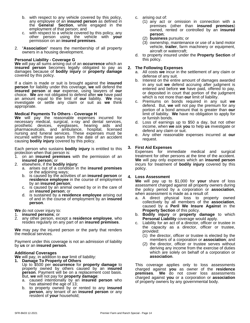- b. with respect to any vehicle covered by this policy, any employee of an **insured person** as defined in the **General Section**, while engaged in the employment of that person; and
- c. with respect to a vehicle covered by this policy, any other person using the vehicle with **your** permission on an **insured premises**.
- 2. "**Association**" means the membership of all property owners in a housing development.

#### **Personal Liability - Coverage G**

**We** will pay all sums arising out of an **occurrence** which an **insured person** becomes legally obligated to pay as damages because of **bodily injury** or **property damage** covered by this policy.

If a claim is made or suit is brought against the **insured person** for liability under this coverage, **we** will defend the **insured person** at **our** expense, using lawyers of **our** choice. **We** are not obligated to defend after **we** have paid an amount equal to the limit of **our** liability. **We** may investigate or settle any claim or suit as **we** think appropriate.

#### **Medical Payments To Others - Coverage H**

**We** will pay the reasonable expenses incurred for necessary medical, surgical, x-ray and dental services, wec prosthetic devices, eyeglasses, hearing aids and incor pharmaceuticals, and ambulance, hospital, licensed nursing and funeral services. These expenses must be incurred within three years from the date of an accident causing **bodily injury** covered by this policy.

Each person who sustains **bodily injury** is entitled to this protection when that person is:<br>1. on an **insured premises** 

- 1. on an **insured premises** with the permission of an **insured person;** or
- 2. elsewhere, if the **bodily injury**:
	- a. arises out of a condition in the **insured premises** or the adjoining ways;
	- b. is caused by the activities of an **insured person** or **residence employee** in the course of employment by an **insured person**;
	- c. is caused by an animal owned by or in the care of an **insured person**; or
	- d. is sustained by a **residence employee** arising out of and in the course of employment by an **insured person**.

**We** do not cover injury to:

- **insured** persons; or
- 2. any other person, except a **residence employee**, who resides regularly on any part of an **insured premises**.

**We** may pay the injured person or the party that renders the medical services.

Payment under this coverage is not an admission of liability by **us** or an **insured person**.

#### **Additional Coverages**

**We** will pay, in addition to **our** limit of liability:

- **1. Damage To Property of Others** Up to \$500 per **occurrence** for **property damage** to property owned by others caused by an i**nsured person**. Payment will be on a replacement cost basis. The But, **we** will not pay for **property damage**:
	- a. caused intentionally by an **insured person** who has attained the age of 13;
- b. to property owned by or rented to any **insured person**, any tenant of an **insured person** or any resident of **your** household;
- c. arising out of:
	- (1) any act or omission in connection with a premises (other than **insured premises**) owned, rented or controlled by an **insured person**;
	- (2) **business** pursuits; or
	- (3) ownership, maintenance or use of a land motor vehicle, **trailer**, farm machinery or equipment, aircraft or watercraft;
- d. to property insured underthe **Property Section** of this policy.

#### **2. The Following Expenses**

- a. All costs **we** incur in the settlement of any claim or defense of any suit.
- b. Interest on the entire amount of damages awarded in any suit **we** defend accruing after judgment is entered and before **we** have paid, offered to pay, or deposited in court that portion of the judgment which is not more than **our** limit of liability.
- c. Premiums on bonds required in any suit **we** defend. But, we will not pay the premium for any portion of a bond amount that is greater than **our** limit of liability. **We** have no obligation to apply for or furnish bonds.
- d. Loss of earnings up to \$50 a day, but not other income, when **we** ask **you** to help **us** investigate or defend any claim or suit.
- e. Any other reasonable expenses incurred at **our** request.

#### **3. First Aid Expenses**

Expenses for immediate medical and surgical treatment for other persons at the time of the accident. **We** will pay only expenses which an **insured person** incurs for treatment of **bodily injury** covered by this policy.

#### **4. Loss Assessment**

**We** will pay up to \$1,000 for **your** share of loss assessment charged againstall property owners during the policy period by a corporation or **association**, when assessment is made as a result of:

- a. A direct physical loss to property owned collectively by all members of the **association**, caused by a **Peril We Insure Against** in the **Property Section** of this policy.
- b. **Bodily injury** or **property damage** to which **Personal Liability** coverage would apply.
- c. Liability for an act of a director, officer or trustee in the capacity as a director, officer or trustee, provided:
	- (1) the director, officer or trustee is elected by the members of a corporation or **association**; and
	- (2) the director, officer or trustee serves without deriving any income from the exercise of duties which are solely on behalf of a corporation or **association**.

This coverage applies only to loss assessments charged against **you** as owner of the **residence premises**. **We** do not cover loss assessments charged against **you** or a corporation or **association** of property owners by any governmental body.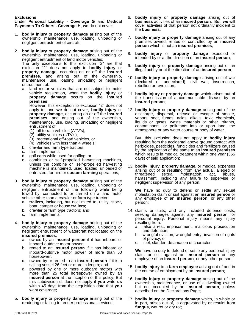# **Exclusions**

Under **Personal Liability - Coverage G** and M**edical Payments To Others - Coverage H**, **we** do not cover:

- 1. **bodily injury** or **property damage** arising out of the ownership, maintenance, use, loading, unloading or negligent entrustment of aircraft;
- 2. **bodily injury** or **property damage** arising out of the ownership, maintenance, use, loading, unloading or negligent entrustment of land motor vehicles;

The only exceptions to this exclusion  $2^{n}$  are that  $9$ . exclusion "2" does not apply to **bodily injury** or **property damag**e, occurring on or off the **insured premises**, and arising out of the ownership, maintenance, use, loading, unloading or negligent entrustment of:

a. land motor vehicles that are not subject to motor vehicle registration, when the **bodily injury** or **property damage** occurs on the **insured premises**.

However, this exception to exclusion "2" does not apply to, and **we** do notcover, **bodily injury** or **property damage**, occurring on or off the **insured premises**, and arising out of the ownership, maintenance, use, loading, unloading or negligent entrustment of:

- (1) all-terrain vehicles (ATV's),
- (2) utility vehicles (UTV's),
- (3) recreational off-road vehicles, or
- (4) vehicles with less than 4 wheels;
- b. crawler and farm type tractors;
- c. farm implements;
- d. golf carts while used for golfing; or
- e. combines or self-propelled harvesting machines, unless the combine or self-propelled harvesting machine is maintained, used, loaded, unloaded or entrusted, for hire or **custom farming** operations;
- 3. **bodily injury** or **property damage** arising out of the ownership, maintenance, use, loading, unloading or negligent entrustment of the following while being towed by, connected to or carried on a land motor vehicle other than a crawler or farm type tractor:
	- a. **trailers**, including, but not limited to, utility, stock, boat, camper or house **trailers**;
	- b. crawler or farm type tractors; and
	- c. farm implements;
- 4. **bodily injury** or **property damage** arising out of the ownership, maintenance, use, loading, unloading or negligent entrustment of watercraft not located on the **insured premises**:
	- a. owned by an **insured person** if it has inboard or inboard-outdrive motor power;
	- b. rented to an **insured person** if it has inboard or inboard-outdrive motor power of more than 50 horsepower;
	- c. owned by or rented to an **insured person** if it is a sailing vessel 26 feet or more in length; and
	- d. powered by one or more outboard motors with more than 25 total horsepower owned by an **insured person** at the inception of this policy. But this subdivision d. does not apply if **you** write **us** within 45 days from the acquisition date that **you** want coverage;
- 5. **bodily injury** or **property damage** arising out of the rendering or failing to render professional services;
- 6. **bodily injury** or **property damage** arising out of **business** activities of an **insured person**. But, **we** will cover activities of that person not ordinarily incident to the **business**;
- 7. **bodily injury** or **property damage** arising out of any premises owned, rented or controlled by an **insured person** which is not an **insured premises**;
- 8. **bodily injury** or **property damage** expected or intended by or at the direction of an **insured person**;
- 9. **bodily injury** or **property damage** arising out of an illegal act by or at the direction of an **insured person**;
- 10. **bodily injury** or **property damage** arising out of war (declared or undeclared), civil war, insurrection, rebellion or revolution;
- 11. **bodily injury** or **property damage** which arises out of the transmission of a communicable disease by an **insured person**;
- 12. **bodily injury** or **property damage** arising out of the discharge, dispersal, release or escape of smoke, vapors, soot, fumes, acids, alkalis, toxic chemicals, liquids or gases, waste materials or other irritants, contaminants, or pollutants into or upon land, the atmosphere or any water course or body of water.

But, this exclusion does not apply to **bodily injury** resulting from the accidental above ground contact with herbicides, pesticides, fungicides and fertilizers caused by the application of the same to an **insured premises** which results in medical treatment within one year (365 days) of said application;

13. **bodily injury**, **property damage**, or medical expenses arising out of or resulting from any actual, alleged or threatened sexual molestation, act, abuse, harassment, including any failure to supervise or negligent supervision of any person.

**We** have no duty to defend or settle any sexual molestation claim or suit against an **insured person** or any employee of an **insured person**, or any other person;

- 14. claims or suits, and any included defense costs, seeking damages against any **insured person** for personal injury. Personal injury means any injury resulting from:
	- a. false arrest, imprisonment, malicious prosecution and detention;
	- b. wrongful eviction, wrongful entry, invasion of rights of privacy; or
	- c. libel, slander, defamation of character.

**We** have no duty to defend or settle any personal injury claim or suit against an **insured person** or any employee of an **insured person**, or any other person;

- 15. **bodily injury** to a **farm employee** arising out of and in the course of employment by an **insured person**;
- 16. **bodily injury** or **property damage** arising out of the ownership, maintenance, or use of a dwelling owned but not occupied by an **insured person**, unless described on the Declarations Page;
- 17. **bodily injury** or **property damage** which, in whole or in part, arises out of, is aggravated by or results from **fungus**, wet rot or dry rot;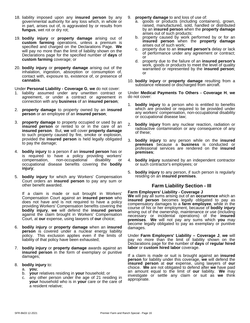- 18. liability imposed upon any **insured person** by any governmental authority for any loss which, in whole or in part, arises out of, is aggravated by or results from **fungus**, wet rot or dry rot;
- 19. **bodily injury** or **property damage** arising out of **custom farming** operations, unless a premium is specified and charged on the Declarations Page. **We** will pay no more than the limit of liability shown on the Declarations page for the specified number of **days** of **custom farming** coverage; or
- 20. **bodily injury** or **property damage** arising out of the inhalation, ingestion, absorption or consumption of, contact with, exposure to, existence of, or presence of **cannabis**.

Under **Personal Liability - Coverage G**, **we** do not cover:

- 1. liability assumed under any unwritten contract or agreement, or under a contract or agreement in connection with any **business** of an **insured person**;
- 2. **property damage** to property owned by an **insured person** or an employee of an **insured person**;
- 3. **property damage** to property occupied or used by an **insured person** or rented to or in the care of an **insured person**. But, **we** will cover **property damage** to such property caused by fire, smoke or explosion, provided the **insured person** is held legally obligated to pay the damage;
- 4. **bodily injury** to a person if an **insured person** has or is required to have a policy providing workers' compensation, non-occupational disability or occupational disease benefits covering the **bodily injury**;
- 5. **bodily injury** for which any Workers' Compensation Court orders an **insured person** to pay any sum or other benefit awarded.

If a claim is made or suit brought in Workers' Compensation Court against an **insured person** who does not have and is not required to have a policy providing Workers' Compensation benefits covering the **bodily injury**, **we** will defend the **insured person** against the claim brought in Workers' Compensation Court, at **our** expense, using lawyers of **our** choice;

- 6. **bodily injury** or **property damage** when an **insured person** is covered under a nuclear energy liability policy. This exclusion applies even if the limits of liability of that policy have been exhausted;
- 7. **bodily injury** or **property damage** awards against an **insured person** in the form of exemplary or punitive damages;
- 8. **bodily injury** to:
	- a. **you**;
	- b. **your** relatives residing in **your** household; or
	- c. any other person under the age of 21 residing in **your** household who is in **your** care or the care of a resident relative;
- 9. **property damage** to and loss of use of:
	- goods or products (including containers), grown, raised, manufactured, sold, handled or distributed by an **insured person** when the **property damage** arises out of such products;
	- b. property caused by work performed by or for an **insured person** when the **property damage** arises out of such work;
	- c. property due to an **insured person's** delay or lack of performance under any agreement or contract; or
	- d. property due to the failure of an **insured person's** work, goods or products to meet the level of quality warranted or represented by the **insured person**; or
- 10. **bodily injury** or **property damage** resulting from a substance released or discharged from aircraft.

Under **Medical Payments To Others - Coverage H**, **we** do not cover:

- 1. **bodily injury** to a person who is entitled to benefits which are provided or required to be provided under any workers' compensation, non-occupational disability or occupational disease law;
- 2. **bodily injury** from any nuclear reaction, radiation or radioactive contamination or any consequence of any of these;
- 3. **bodily injury** to any person while on the **insured premises** because a **business** is conducted or professional services are rendered on the **insured premises**;
- 4. **bodily injury** sustained by an independent contractor or such contractor's employees; or
- 5. **bodily injury** to any person, if such person is regularly residing on an **insured premises**.

# **Farm Liability Section - III**

#### **Farm Employers' Liability - Coverage J**

**We** will pay all sums arising out of an **occurrence** which an **insured person** becomes legally obligated to pay as compensatory damages to a **farm employee**, while in the course of his or her employment, because of **bodily injury** arising out of the ownership, maintenance or use (including necessary or incidental operations) of the **insured premises**. **We** will not pay any sums which **you** may become legally obligated to pay as exemplary or punitive damages.

Under **Farm Employers' Liability – Coverage J**, **we** will pay no more than the limit of liability shown on the Declarations page for the number of **days** of **regular hired labor** or **custom hired labor** coverage.

If a claim is made or suit is brought against an **insured person** for liability under this coverage, **we** will defend the **insured person** at **our** expense, using lawyers of **our** choice. We are not obligated to defend after we have paid an amount equal to the limit of **our** liability. **We** may investigate or settle any claim or suit as **we** think appropriate.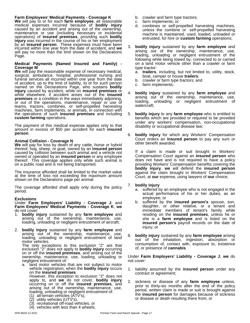#### **Farm Employees' Medical Payments - Coverage K**

**We** will pay to or for each **farm employee**, all reasonable medical expenses incurred because of **bodily injury** caused by an accident and arising out of the ownership, maintenance or use (including necessary or incidental operations) of **insured premises**, providing such **bodily injury** was incurred in the course of his or her employment by an **insured person**. These expenses must have been incurred within one year from the date of accident, and **we** will pay no more than the limit shown on the Declarations Page.

#### **Medical Payments (Named Insured and Family) - Coverage M**

**We** will pay the reasonable expense of necessary medical, surgical, ambulance, hospital, professional nursing and and boat. funeral services all incurred within one year from the date  $h$  craw of accident, up to the limit of liability, to or for such person named on the Declarations Page, who sustains **bodily injury** caused by accident, while on **insured premises** or while elsewhere, if accident arises out of the **insured** 4. **poully** in **premises** or a condition in the ways immediately adjoining, and the main of the operations maintenance repair or use of loading, or out of the operations, maintenance, repair or use of teams, tractors, combines, or self-propelled harvesting machines, farm implements, or animals, in connection with the operations of such **insured premises** and including **custom farming** operations.

The payment of this medical expense applies only to that amount in excess of \$50 per accident for each **insured person**.

#### **Animal Collision - Coverage N**

**We** will pay for loss by death of any cattle, horse or hybrid thereof, hog, sheep, or goat, owned by an **insured person** caused by collision between such animal and a vehicle not owned or operated by an **insured person** or any employee thereof. This coverage applies only while such animal is on a public road and is not being transported.

The insurance afforded shall be limited to the market value at the time of loss not exceeding the maximum amount shown on the Declarations page per animal.

The coverage afforded shall apply only during the policy period.

#### **Exclusions**

Under **Farm Employers' Liability - Coverage J**, and **Farm Employees' Medical Payments - Coverage K**, **we** do not cover:

- 1. **bodily injury** sustained by any **farm employee** and arising out of the ownership, maintenance, use, loading, unloading or negligent entrustment of aircraft;
- 2. **bodily injury** sustained by any **farm employee** and arising out of the ownership, maintenance, use, loading, unloading or negligent entrustment of land motor vehicles.

The only exceptions to this exclusion "2" are that  $\frac{500}{100}$ exclusion "2" does not apply to **bodily injury** occurring on or off the **insured premises**, and arising out of the ownership, maintenance, use, loading, unloading or negligent entrustment of:

a. land motor vehicles that are not subject to motor vehicle registration, when the **bodily injury** occurs on the **insured premises**.

However, this exception to exclusion "2" does not apply to, and **we** do not cover, **bodily injury** occurring on or off the **insured premises**, and arising out of the ownership, maintenance, use, loading, unloading or negligent entrustment of:

- (1) all-terrain vehicles (ATV's),
- (2) utility vehicles (UTV's),
- (3) recreational off-road vehicles, or
- $(4)$  vehicles with less than 4 wheels;
- b. crawler and farm type tractors;
- c. farm implements; or
- d. combines or self-propelled harvesting machines, unless the combine or self-propelled harvesting machine is maintained, used, loaded, unloaded or entrusted, for hire or **custom farming** operations;
- 3. **bodily injury** sustained by any **farm employee** and arising out of the ownership, maintenance, use, loading, unloading or negligent entrustment of the following while being towed by, connected to or carried on a land motor vehicle other than a crawler or farm type tractor:
	- a. **trailers**, including, but not limited to, utility, stock, boat, camper or house **trailers**;
	- b. crawler or farm type tractors; and
	- c. farm implements;
- 4. **bodily injury** sustained by any **farm employee** and arising out of the ownership, maintenance, use, unloading or negligent entrustment of watercraft;
- 5. **bodily injury** to any **farm employee** who is entitled to benefits which are provided or required to be provided under any workers' compensation, non-occupational disability or occupational disease law;
- 6. **bodily injury** for which any Workers' Compensation Court orders an **insured person** to pay any sum or other benefit awarded.

If a claim is made or suit brought in Workers' Compensation Court against an **insured person** who does not have and is not required to have a policy providing Workers' Compensation benefits covering the **bodily injury**, **we** will defend the **insured person** against the claim brought in Workers' Compensation Court, at **our** expense, using lawyers of **our** choice;

#### 7. **bodily injury**

- a. suffered by an employee who is not engaged in the actual performance of his or her duties, as an employee; or
- b. suffered by the **insured person's** spouse, son, daughter, or other relative, or a tenant and immediate members of tenant's family while residing on the **insured premises**, unless he or she is a **farm employee** and is listed on the **insured person's** payroll records on the date of injury; or
- 8. **bodily injury** sustained by any **farm employee** arising out of the inhalation, ingestion, absorption or consumption of, contact with, exposure to, existence of, or presence of **cannabis**.

Under **Farm Employers' Liability - Coverage J**, **we** do not cover:

- 1. liability assumed by the **insured person** under any contract or agreement;
- 2. sickness or disease of any **farm employee** unless, prior to thirty-six months after the end of the policy period, written claim is made or suit is brought against the **insured person** for damages because of sickness or disease or death resulting there from; or